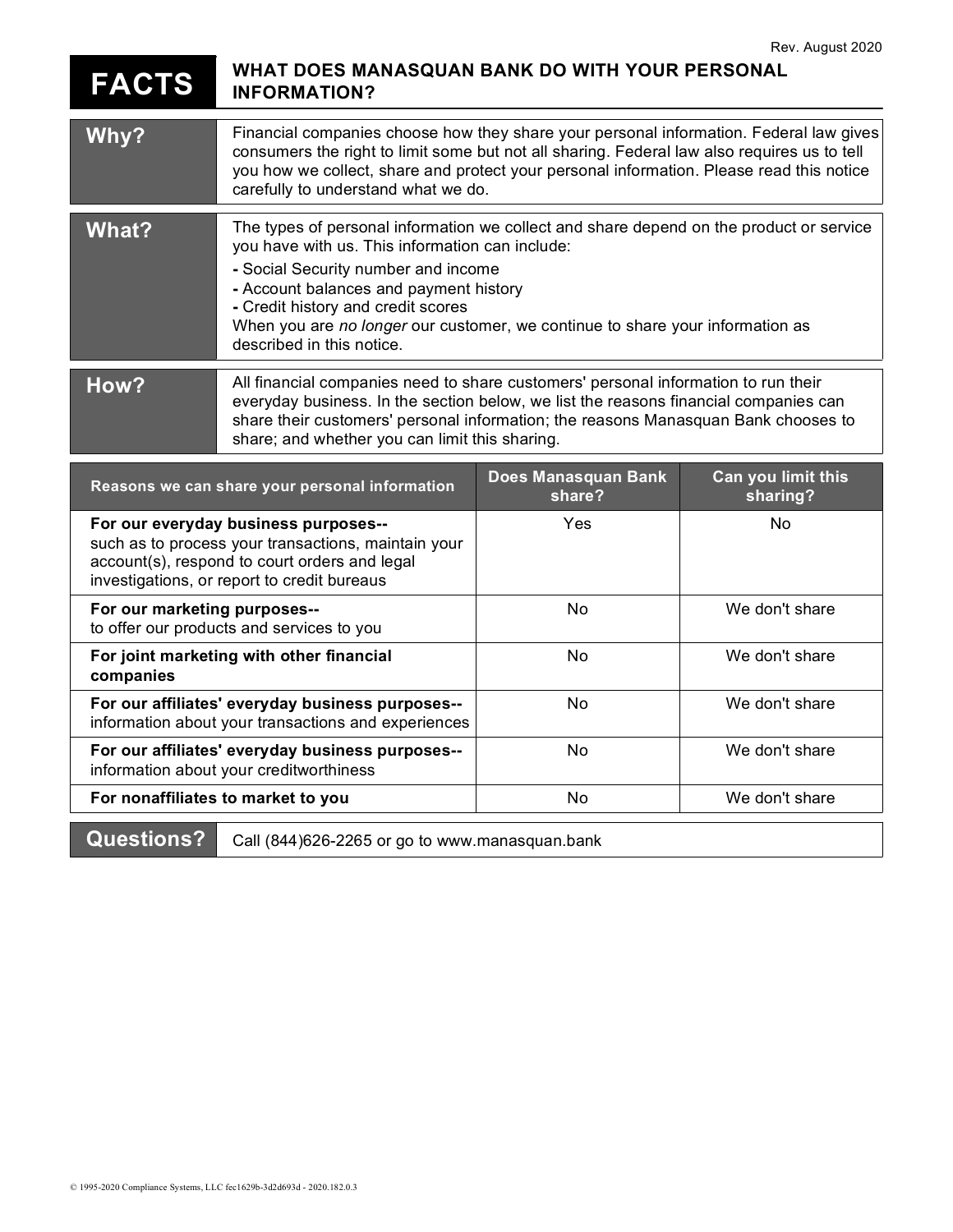## FACTS WHAT DOES MANASQUAN BANK DO WITH YOUR PERSONAL INFORMATION?

| Why?                                                                                                                                                                                        | Financial companies choose how they share your personal information. Federal law gives<br>consumers the right to limit some but not all sharing. Federal law also requires us to tell<br>you how we collect, share and protect your personal information. Please read this notice<br>carefully to understand what we do.                                                        |                               |                                |
|---------------------------------------------------------------------------------------------------------------------------------------------------------------------------------------------|---------------------------------------------------------------------------------------------------------------------------------------------------------------------------------------------------------------------------------------------------------------------------------------------------------------------------------------------------------------------------------|-------------------------------|--------------------------------|
| What?                                                                                                                                                                                       | The types of personal information we collect and share depend on the product or service<br>you have with us. This information can include:<br>- Social Security number and income<br>- Account balances and payment history<br>- Credit history and credit scores<br>When you are no longer our customer, we continue to share your information as<br>described in this notice. |                               |                                |
| How?                                                                                                                                                                                        | All financial companies need to share customers' personal information to run their<br>everyday business. In the section below, we list the reasons financial companies can<br>share their customers' personal information; the reasons Manasquan Bank chooses to<br>share; and whether you can limit this sharing.                                                              |                               |                                |
| Reasons we can share your personal information                                                                                                                                              |                                                                                                                                                                                                                                                                                                                                                                                 | Does Manasquan Bank<br>share? | Can you limit this<br>sharing? |
| For our everyday business purposes--<br>such as to process your transactions, maintain your<br>account(s), respond to court orders and legal<br>investigations, or report to credit bureaus |                                                                                                                                                                                                                                                                                                                                                                                 | Yes                           | <b>No</b>                      |
| For our marketing purposes--<br>to offer our products and services to you                                                                                                                   |                                                                                                                                                                                                                                                                                                                                                                                 | No                            | We don't share                 |
| For joint marketing with other financial<br>companies                                                                                                                                       |                                                                                                                                                                                                                                                                                                                                                                                 | No                            | We don't share                 |
| For our affiliates' everyday business purposes--<br>information about your transactions and experiences                                                                                     |                                                                                                                                                                                                                                                                                                                                                                                 | No                            | We don't share                 |
| For our affiliates' everyday business purposes--<br>information about your creditworthiness                                                                                                 |                                                                                                                                                                                                                                                                                                                                                                                 | No                            | We don't share                 |
| For nonaffiliates to market to you                                                                                                                                                          |                                                                                                                                                                                                                                                                                                                                                                                 | No                            | We don't share                 |
| <b>Questions?</b><br>Call (844) 626-2265 or go to www.manasquan.bank                                                                                                                        |                                                                                                                                                                                                                                                                                                                                                                                 |                               |                                |